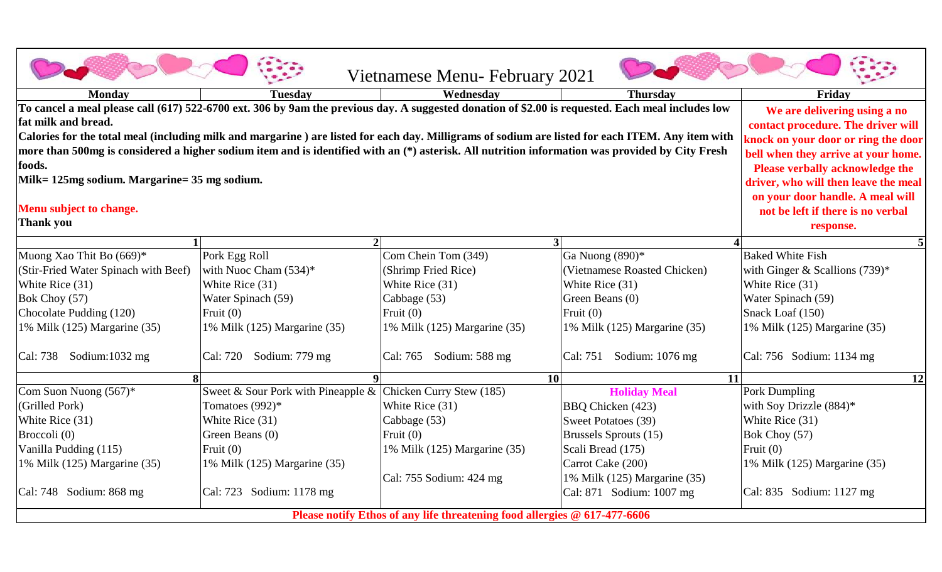|                                                                                                                                                                                                                                                                                                                                                               |                                                                                                                                                            | Vietnamese Menu-February 2021               |                                                          |                                                  |  |  |  |
|---------------------------------------------------------------------------------------------------------------------------------------------------------------------------------------------------------------------------------------------------------------------------------------------------------------------------------------------------------------|------------------------------------------------------------------------------------------------------------------------------------------------------------|---------------------------------------------|----------------------------------------------------------|--------------------------------------------------|--|--|--|
| <b>Monday</b>                                                                                                                                                                                                                                                                                                                                                 | <b>Tuesday</b>                                                                                                                                             | Wednesday                                   | <b>Thursday</b>                                          | Friday                                           |  |  |  |
| To cancel a meal please call (617) 522-6700 ext. 306 by 9am the previous day. A suggested donation of \$2.00 is requested. Each meal includes low<br>fat milk and bread.                                                                                                                                                                                      | We are delivering using a no                                                                                                                               |                                             |                                                          |                                                  |  |  |  |
| Calories for the total meal (including milk and margarine) are listed for each day. Milligrams of sodium are listed for each ITEM. Any item with<br>more than 500mg is considered a higher sodium item and is identified with an (*) asterisk. All nutrition information was provided by City Fresh<br>foods.<br>Milk= 125mg sodium. Margarine= 35 mg sodium. | contact procedure. The driver will<br>knock on your door or ring the door<br>bell when they arrive at your home.<br><b>Please verbally acknowledge the</b> |                                             |                                                          |                                                  |  |  |  |
| Menu subject to change.<br><b>Thank you</b>                                                                                                                                                                                                                                                                                                                   | driver, who will then leave the meal<br>on your door handle. A meal will<br>not be left if there is no verbal<br>response.                                 |                                             |                                                          |                                                  |  |  |  |
|                                                                                                                                                                                                                                                                                                                                                               | $\mathcal{D}$                                                                                                                                              | 3 <sup>l</sup>                              |                                                          |                                                  |  |  |  |
| Muong Xao Thit Bo (669)*                                                                                                                                                                                                                                                                                                                                      | Pork Egg Roll                                                                                                                                              | Com Chein Tom (349)                         | Ga Nuong (890)*                                          | <b>Baked White Fish</b>                          |  |  |  |
| (Stir-Fried Water Spinach with Beef)                                                                                                                                                                                                                                                                                                                          | with Nuoc Cham $(534)$ *                                                                                                                                   | (Shrimp Fried Rice)                         | (Vietnamese Roasted Chicken)                             | with Ginger & Scallions $(739)^*$                |  |  |  |
| White Rice (31)                                                                                                                                                                                                                                                                                                                                               | White Rice (31)                                                                                                                                            | White Rice (31)                             | White Rice (31)                                          | White Rice (31)                                  |  |  |  |
| Bok Choy (57)                                                                                                                                                                                                                                                                                                                                                 | Water Spinach (59)                                                                                                                                         | Cabbage (53)                                | Green Beans (0)                                          | Water Spinach (59)                               |  |  |  |
| Chocolate Pudding (120)<br>1% Milk (125) Margarine (35)                                                                                                                                                                                                                                                                                                       | Fruit $(0)$<br>1% Milk (125) Margarine (35)                                                                                                                | Fruit $(0)$<br>1% Milk (125) Margarine (35) | Fruit $(0)$<br>1% Milk (125) Margarine (35)              | Snack Loaf (150)<br>1% Milk (125) Margarine (35) |  |  |  |
|                                                                                                                                                                                                                                                                                                                                                               |                                                                                                                                                            |                                             |                                                          |                                                  |  |  |  |
| Cal: 738 Sodium:1032 mg                                                                                                                                                                                                                                                                                                                                       | Cal: 720 Sodium: 779 mg                                                                                                                                    | Cal: 765 Sodium: 588 mg                     | Sodium: 1076 mg<br>Cal: 751                              | Cal: 756 Sodium: 1134 mg                         |  |  |  |
| $\bf{8}$                                                                                                                                                                                                                                                                                                                                                      | $\boldsymbol{q}$                                                                                                                                           | $\overline{10}$                             | $\overline{11}$                                          | $\overline{12}$                                  |  |  |  |
| Com Suon Nuong $(567)^*$                                                                                                                                                                                                                                                                                                                                      | Sweet & Sour Pork with Pineapple & Chicken Curry Stew (185)                                                                                                |                                             | <b>Holiday Meal</b>                                      | Pork Dumpling                                    |  |  |  |
| (Grilled Pork)                                                                                                                                                                                                                                                                                                                                                | Tomatoes (992)*                                                                                                                                            | White Rice (31)                             | BBQ Chicken (423)                                        | with Soy Drizzle $(884)$ *                       |  |  |  |
| White Rice (31)                                                                                                                                                                                                                                                                                                                                               | White Rice (31)                                                                                                                                            | Cabbage (53)                                | Sweet Potatoes (39)                                      | White Rice (31)                                  |  |  |  |
| Broccoli (0)                                                                                                                                                                                                                                                                                                                                                  | Green Beans (0)                                                                                                                                            | Fruit $(0)$                                 | Brussels Sprouts (15)                                    | Bok Choy (57)                                    |  |  |  |
| Vanilla Pudding (115)                                                                                                                                                                                                                                                                                                                                         | Fruit $(0)$                                                                                                                                                | 1% Milk (125) Margarine (35)                | Scali Bread (175)                                        | Fruit $(0)$                                      |  |  |  |
| 1% Milk (125) Margarine (35)                                                                                                                                                                                                                                                                                                                                  | 1% Milk (125) Margarine (35)                                                                                                                               |                                             | Carrot Cake (200)                                        | 1% Milk (125) Margarine (35)                     |  |  |  |
| Cal: 748 Sodium: 868 mg                                                                                                                                                                                                                                                                                                                                       | Cal: 723 Sodium: 1178 mg                                                                                                                                   | Cal: 755 Sodium: 424 mg                     | 1% Milk (125) Margarine (35)<br>Cal: 871 Sodium: 1007 mg | Cal: 835 Sodium: 1127 mg                         |  |  |  |
| Please notify Ethos of any life threatening food allergies @ 617-477-6606                                                                                                                                                                                                                                                                                     |                                                                                                                                                            |                                             |                                                          |                                                  |  |  |  |